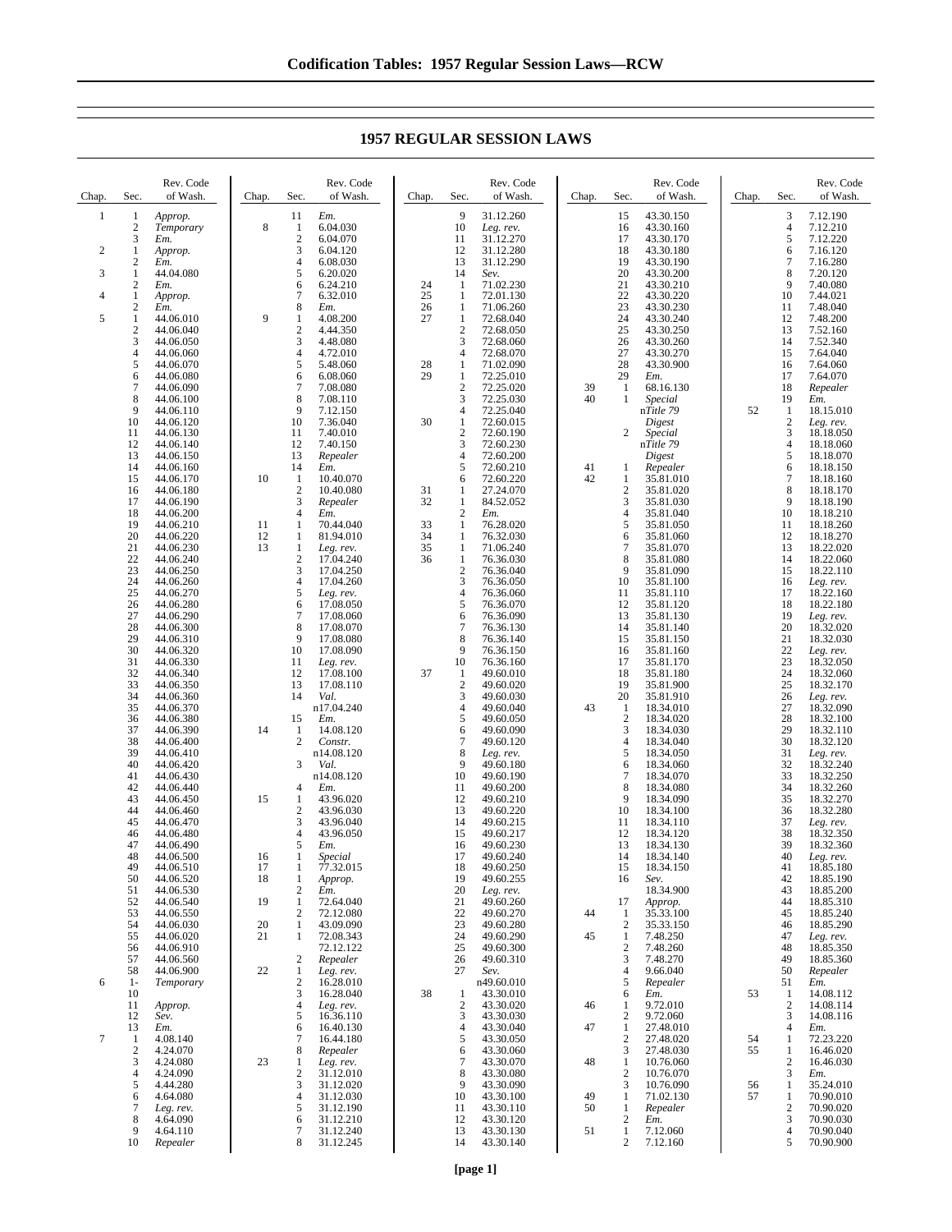| Chap.        | Sec.                  | Rev. Code<br>of Wash.  | Chap.    | Sec.                           | Rev. Code<br>of Wash.  | Chap.    | Sec.                  | Rev. Code<br>of Wash.   | Chap. | Sec.                             | Rev. Code<br>of Wash.  | Chap. | Sec.                             | Rev. Code<br>of Wash.  |
|--------------|-----------------------|------------------------|----------|--------------------------------|------------------------|----------|-----------------------|-------------------------|-------|----------------------------------|------------------------|-------|----------------------------------|------------------------|
| $\mathbf{1}$ | $\mathbf{1}$          | Approp.                |          | 11                             | Em.                    |          | 9                     | 31.12.260               |       | 15                               | 43.30.150              |       | 3                                | 7.12.190               |
|              | $\boldsymbol{2}$      | Temporary              | 8        | 1                              | 6.04.030               |          | 10                    | Leg. rev.               |       | 16                               | 43.30.160              |       | $\overline{4}$                   | 7.12.210               |
| 2            | 3<br>$\mathbf{1}$     | Em.<br>Approp.         |          | $\sqrt{2}$<br>3                | 6.04.070<br>6.04.120   |          | 11<br>12              | 31.12.270<br>31.12.280  |       | 17<br>18                         | 43.30.170<br>43.30.180 |       | 5<br>6                           | 7.12.220<br>7.16.120   |
|              | $\boldsymbol{2}$      | Em.                    |          | $\overline{4}$                 | 6.08.030               |          | 13                    | 31.12.290               |       | 19                               | 43.30.190              |       | 7                                | 7.16.280               |
| 3            | $\mathbf{1}$          | 44.04.080              |          | 5                              | 6.20.020               |          | 14                    | Sev.                    |       | 20                               | 43.30.200              |       | 8                                | 7.20.120               |
| 4            | 2<br>1                | Em.<br>Approp.         |          | 6<br>$\tau$                    | 6.24.210<br>6.32.010   | 24<br>25 | 1<br>1                | 71.02.230<br>72.01.130  |       | 21<br>22                         | 43.30.210<br>43.30.220 |       | 9<br>10                          | 7.40.080<br>7.44.021   |
|              | $\boldsymbol{2}$      | Em.                    |          | $\,8\,$                        | Em.                    | 26       | $\mathbf{1}$          | 71.06.260               |       | 23                               | 43.30.230              |       | 11                               | 7.48.040               |
| 5            | 1                     | 44.06.010              | 9        | 1                              | 4.08.200               | 27       | $\mathbf{1}$          | 72.68.040               |       | 24                               | 43.30.240              |       | 12                               | 7.48.200               |
|              | $\boldsymbol{2}$<br>3 | 44.06.040<br>44.06.050 |          | $\sqrt{2}$<br>3                | 4.44.350<br>4.48.080   |          | $\overline{2}$<br>3   | 72.68.050<br>72.68.060  |       | 25<br>26                         | 43.30.250<br>43.30.260 |       | 13<br>14                         | 7.52.160<br>7.52.340   |
|              | 4                     | 44.06.060              |          | $\overline{4}$                 | 4.72.010               |          | $\overline{4}$        | 72.68.070               |       | 27                               | 43.30.270              |       | 15                               | 7.64.040               |
|              | 5<br>6                | 44.06.070<br>44.06.080 |          | 5<br>6                         | 5.48.060<br>6.08.060   | 28<br>29 | 1<br>1                | 71.02.090<br>72.25.010  |       | 28<br>29                         | 43.30.900<br>Em.       |       | 16<br>17                         | 7.64.060<br>7.64.070   |
|              | 7                     | 44.06.090              |          | 7                              | 7.08.080               |          | $\boldsymbol{2}$      | 72.25.020               | 39    | 1                                | 68.16.130              |       | 18                               | Repealer               |
|              | 8                     | 44.06.100              |          | 8                              | 7.08.110               |          | 3                     | 72.25.030               | 40    |                                  | Special                |       | 19                               | Em.                    |
|              | 9<br>10               | 44.06.110<br>44.06.120 |          | 9<br>10                        | 7.12.150<br>7.36.040   | 30       | $\overline{4}$<br>1   | 72.25.040<br>72.60.015  |       |                                  | nTitle 79<br>Digest    | 52    | $\mathbf{1}$<br>$\boldsymbol{2}$ | 18.15.010<br>Leg. rev. |
|              | 11                    | 44.06.130              |          | 11                             | 7.40.010               |          | $\boldsymbol{2}$      | 72.60.190               |       | 2                                | Special                |       | 3                                | 18.18.050              |
|              | 12<br>13              | 44.06.140<br>44.06.150 |          | 12<br>13                       | 7.40.150<br>Repealer   |          | 3<br>$\overline{4}$   | 72.60.230<br>72.60.200  |       |                                  | nTitle 79              |       | 4<br>5                           | 18.18.060<br>18.18.070 |
|              | 14                    | 44.06.160              |          | 14                             | Em.                    |          | 5                     | 72.60.210               | 41    | 1                                | Digest<br>Repealer     |       | 6                                | 18.18.150              |
|              | 15                    | 44.06.170              | 10       | 1                              | 10.40.070              |          | 6                     | 72.60.220               | 42    | 1                                | 35.81.010              |       | 7                                | 18.18.160              |
|              | 16<br>17              | 44.06.180<br>44.06.190 |          | $\mathbf{2}$<br>3              | 10.40.080<br>Repealer  | 31<br>32 | 1<br>$\mathbf{1}$     | 27.24.070<br>84.52.052  |       | 2<br>3                           | 35.81.020<br>35.81.030 |       | 8<br>9                           | 18.18.170<br>18.18.190 |
|              | 18                    | 44.06.200              |          | $\overline{4}$                 | Em.                    |          | $\mathfrak{2}$        | Em.                     |       | $\overline{4}$                   | 35.81.040              |       | 10                               | 18.18.210              |
|              | 19                    | 44.06.210              | 11       | $\mathbf{1}$                   | 70.44.040              | 33       | 1                     | 76.28.020               |       | 5                                | 35.81.050              |       | 11                               | 18.18.260              |
|              | 20<br>21              | 44.06.220<br>44.06.230 | 12<br>13 | $\mathbf{1}$<br>1              | 81.94.010<br>Leg. rev. | 34<br>35 | 1<br>1                | 76.32.030<br>71.06.240  |       | 6<br>7                           | 35.81.060<br>35.81.070 |       | 12<br>13                         | 18.18.270<br>18.22.020 |
|              | 22                    | 44.06.240              |          | $\overline{\mathbf{c}}$        | 17.04.240              | 36       | $\mathbf{1}$          | 76.36.030               |       | 8                                | 35.81.080              |       | 14                               | 18.22.060              |
|              | 23<br>24              | 44.06.250              |          | 3<br>$\overline{4}$            | 17.04.250<br>17.04.260 |          | $\boldsymbol{2}$<br>3 | 76.36.040<br>76.36.050  |       | 9<br>10                          | 35.81.090              |       | 15<br>16                         | 18.22.110              |
|              | 25                    | 44.06.260<br>44.06.270 |          | 5                              | Leg. rev.              |          | 4                     | 76.36.060               |       | 11                               | 35.81.100<br>35.81.110 |       | 17                               | Leg. rev.<br>18.22.160 |
|              | 26                    | 44.06.280              |          | 6                              | 17.08.050              |          | 5                     | 76.36.070               |       | 12                               | 35.81.120              |       | 18                               | 18.22.180              |
|              | 27<br>28              | 44.06.290<br>44.06.300 |          | $\tau$<br>8                    | 17.08.060<br>17.08.070 |          | 6<br>$\tau$           | 76.36.090<br>76.36.130  |       | 13<br>14                         | 35.81.130<br>35.81.140 |       | 19<br>20                         | Leg. rev.<br>18.32.020 |
|              | 29                    | 44.06.310              |          | 9                              | 17.08.080              |          | 8                     | 76.36.140               |       | 15                               | 35.81.150              |       | 21                               | 18.32.030              |
|              | 30                    | 44.06.320              |          | 10                             | 17.08.090              |          | 9                     | 76.36.150               |       | 16<br>17                         | 35.81.160              |       | 22<br>23                         | Leg. rev.              |
|              | 31<br>32              | 44.06.330<br>44.06.340 |          | 11<br>12                       | Leg. rev.<br>17.08.100 | 37       | 10<br>1               | 76.36.160<br>49.60.010  |       | 18                               | 35.81.170<br>35.81.180 |       | 24                               | 18.32.050<br>18.32.060 |
|              | 33                    | 44.06.350              |          | 13                             | 17.08.110              |          | $\boldsymbol{2}$      | 49.60.020               |       | 19                               | 35.81.900              |       | 25                               | 18.32.170              |
|              | 34<br>35              | 44.06.360<br>44.06.370 |          | 14                             | Val.<br>n17.04.240     |          | 3<br>4                | 49.60.030<br>49.60.040  | 43    | 20<br>$\mathbf{1}$               | 35.81.910<br>18.34.010 |       | 26<br>27                         | Leg. rev.<br>18.32.090 |
|              | 36                    | 44.06.380              |          | 15                             | Em.                    |          | 5                     | 49.60.050               |       | $\overline{c}$                   | 18.34.020              |       | 28                               | 18.32.100              |
|              | 37                    | 44.06.390              | 14       | $\mathbf{1}$                   | 14.08.120              |          | 6                     | 49.60.090               |       | 3                                | 18.34.030              |       | 29                               | 18.32.110              |
|              | 38<br>39              | 44.06.400<br>44.06.410 |          | $\overline{2}$                 | Constr.<br>n14.08.120  |          | 7<br>8                | 49.60.120<br>Leg. rev.  |       | 4<br>5                           | 18.34.040<br>18.34.050 |       | 30<br>31                         | 18.32.120<br>Leg. rev. |
|              | 40                    | 44.06.420              |          | 3                              | Val.                   |          | 9                     | 49.60.180               |       | 6                                | 18.34.060              |       | 32                               | 18.32.240              |
|              | 41<br>42              | 44.06.430<br>44.06.440 |          | $\overline{4}$                 | n14.08.120<br>Em.      |          | 10<br>11              | 49.60.190<br>49.60.200  |       | 7<br>8                           | 18.34.070<br>18.34.080 |       | 33<br>34                         | 18.32.250<br>18.32.260 |
|              | 43                    | 44.06.450              | 15       | $\mathbf{1}$                   | 43.96.020              |          | 12                    | 49.60.210               |       | 9                                | 18.34.090              |       | 35                               | 18.32.270              |
|              | 44                    | 44.06.460              |          | $\boldsymbol{2}$               | 43.96.030              |          | 13                    | 49.60.220               |       | 10                               | 18.34.100              |       | 36                               | 18.32.280              |
|              | 45<br>46              | 44.06.470<br>44.06.480 |          | 3<br>$\overline{4}$            | 43.96.040<br>43.96.050 |          | 14<br>15              | 49.60.215<br>49.60.217  |       | 11<br>12                         | 18.34.110<br>18.34.120 |       | 37<br>38                         | Leg. rev.<br>18.32.350 |
|              | 47                    | 44.06.490              |          | 5                              | Em.                    |          | 16                    | 49.60.230               |       | 13                               | 18.34.130              |       | 39                               | 18.32.360              |
|              | 48<br>49              | 44.06.500<br>44.06.510 | 16<br>17 | 1<br>1                         | Special<br>77.32.015   |          | 17<br>18              | 49.60.240<br>49.60.250  |       | 14<br>15                         | 18.34.140<br>18.34.150 |       | 40<br>41                         | Leg. rev.<br>18.85.180 |
|              | 50                    | 44.06.520              | 18       | 1                              | Approp.                |          | 19                    | 49.60.255               |       | 16                               | Sev.                   |       | 42                               | 18.85.190              |
|              | 51                    | 44.06.530              |          | $\overline{2}$                 | Em.                    |          | 20                    | Leg. rev.               |       |                                  | 18.34.900              |       | 43                               | 18.85.200              |
|              | 52<br>53              | 44.06.540<br>44.06.550 | 19       | $\mathbf{1}$<br>$\mathfrak{2}$ | 72.64.040<br>72.12.080 |          | 21<br>22              | 49.60.260<br>49.60.270  | 44    | 17<br>1                          | Approp.<br>35.33.100   |       | 44<br>45                         | 18.85.310<br>18.85.240 |
|              | 54                    | 44.06.030              | 20       | 1                              | 43.09.090              |          | 23                    | 49.60.280               |       | $\overline{c}$                   | 35.33.150              |       | 46                               | 18.85.290              |
|              | 55                    | 44.06.020              | 21       | $\mathbf{1}$                   | 72.08.343              |          | 24<br>25              | 49.60.290<br>49.60.300  | 45    | $\mathbf{1}$<br>$\boldsymbol{2}$ | 7.48.250               |       | 47<br>48                         | Leg. rev.              |
|              | 56<br>57              | 44.06.910<br>44.06.560 |          | $\overline{\mathbf{c}}$        | 72.12.122<br>Repealer  |          | 26                    | 49.60.310               |       | 3                                | 7.48.260<br>7.48.270   |       | 49                               | 18.85.350<br>18.85.360 |
|              | 58                    | 44.06.900              | 22       | 1                              | Leg. rev.              |          | 27                    | Sev.                    |       | 4                                | 9.66.040               |       | 50                               | Repealer               |
| 6            | $1-$<br>10            | Temporary              |          | $\overline{c}$<br>3            | 16.28.010<br>16.28.040 | 38       | 1                     | n49.60.010<br>43.30.010 |       | 5<br>6                           | Repealer<br>Em.        | 53    | 51<br>$\mathbf{1}$               | Em.<br>14.08.112       |
|              | 11                    | Approp.                |          | $\overline{4}$                 | Leg. rev.              |          | $\mathfrak{2}$        | 43.30.020               | 46    | 1                                | 9.72.010               |       | $\mathfrak{2}$                   | 14.08.114              |
|              | 12                    | Sev.                   |          | 5                              | 16.36.110              |          | 3                     | 43.30.030               |       | $\overline{c}$                   | 9.72.060               |       | 3                                | 14.08.116              |
| $\tau$       | 13<br>$\mathbf{1}$    | Em.<br>4.08.140        |          | 6<br>$\tau$                    | 16.40.130<br>16.44.180 |          | 4<br>5                | 43.30.040<br>43.30.050  | 47    | 1<br>$\overline{c}$              | 27.48.010<br>27.48.020 | 54    | 4<br>1                           | Em.<br>72.23.220       |
|              | $\boldsymbol{2}$      | 4.24.070               |          | 8                              | Repealer               |          | 6                     | 43.30.060               |       | 3                                | 27.48.030              | 55    | 1                                | 16.46.020              |
|              | 3<br>4                | 4.24.080<br>4.24.090   | 23       | 1<br>$\boldsymbol{2}$          | Leg. rev.<br>31.12.010 |          | 7<br>8                | 43.30.070<br>43.30.080  | 48    | 1<br>$\overline{c}$              | 10.76.060<br>10.76.070 |       | $\boldsymbol{2}$<br>3            | 16.46.030<br>Em.       |
|              | 5                     | 4.44.280               |          | 3                              | 31.12.020              |          | 9                     | 43.30.090               |       | 3                                | 10.76.090              | 56    | 1                                | 35.24.010              |
|              | 6                     | 4.64.080               |          | $\overline{4}$                 | 31.12.030              |          | 10                    | 43.30.100               | 49    | 1                                | 71.02.130              | 57    | 1                                | 70.90.010              |
|              | 7<br>8                | Leg. rev.<br>4.64.090  |          | 5<br>6                         | 31.12.190<br>31.12.210 |          | 11<br>12              | 43.30.110<br>43.30.120  | 50    | 1<br>$\overline{c}$              | Repealer<br>Em.        |       | $\overline{c}$<br>3              | 70.90.020<br>70.90.030 |
|              | 9                     | 4.64.110               |          | 7                              | 31.12.240              |          | 13                    | 43.30.130               | 51    | $\mathbf{1}$                     | 7.12.060               |       | 4                                | 70.90.040              |
|              | 10                    | Repealer               |          | 8                              | 31.12.245              |          | 14                    | 43.30.140               |       | $\overline{c}$                   | 7.12.160               |       | 5                                | 70.90.900              |

## **1957 REGULAR SESSION LAWS**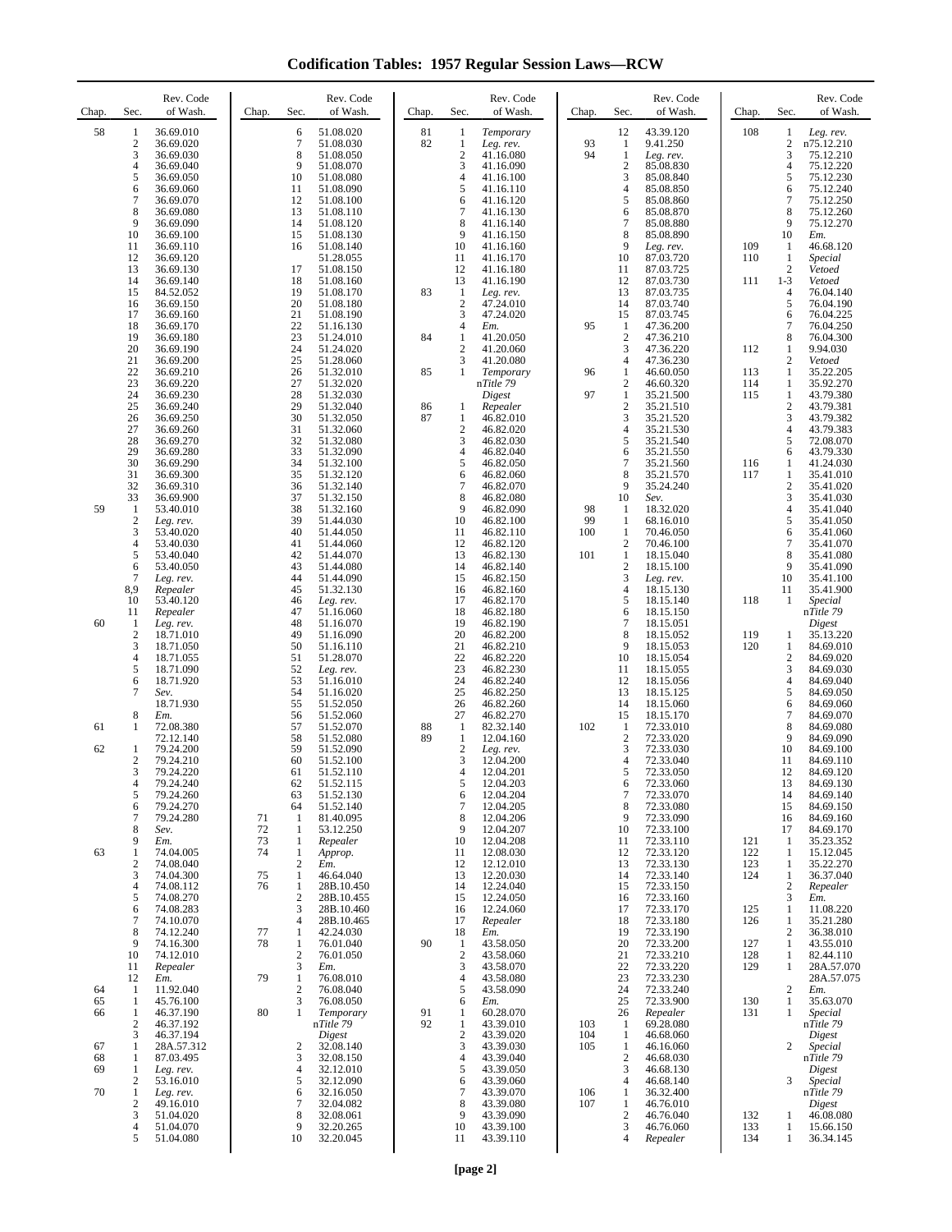**Codification Tables: 1957 Regular Session Laws—RCW**

| Chap.                | Sec.                                                       | Rev. Code<br>of Wash.                                                                                             | Sec.<br>Chap.                                                                                                    | Rev. Code<br>of Wash.                                                                                             | Chap.    | Sec.                                                             | Rev. Code<br>of Wash.                                                                                             | Chap.             | Sec.                                                                                 | Rev. Code<br>of Wash.                                                                                            | Chap.                    | Sec.                                                                 | Rev. Code<br>of Wash.                                                                                              |
|----------------------|------------------------------------------------------------|-------------------------------------------------------------------------------------------------------------------|------------------------------------------------------------------------------------------------------------------|-------------------------------------------------------------------------------------------------------------------|----------|------------------------------------------------------------------|-------------------------------------------------------------------------------------------------------------------|-------------------|--------------------------------------------------------------------------------------|------------------------------------------------------------------------------------------------------------------|--------------------------|----------------------------------------------------------------------|--------------------------------------------------------------------------------------------------------------------|
| 58                   | 1<br>$\boldsymbol{2}$<br>3<br>4<br>5<br>6<br>7<br>8<br>9   | 36.69.010<br>36.69.020<br>36.69.030<br>36.69.040<br>36.69.050<br>36.69.060<br>36.69.070<br>36.69.080<br>36.69.090 | 6<br>$\tau$<br>8<br>9<br>10<br>11<br>12<br>13<br>14                                                              | 51.08.020<br>51.08.030<br>51.08.050<br>51.08.070<br>51.08.080<br>51.08.090<br>51.08.100<br>51.08.110<br>51.08.120 | 81<br>82 | 1<br>1<br>$\sqrt{2}$<br>3<br>4<br>5<br>6<br>7<br>8               | Temporary<br>Leg. rev.<br>41.16.080<br>41.16.090<br>41.16.100<br>41.16.110<br>41.16.120<br>41.16.130<br>41.16.140 | 93<br>94          | 12<br>$\mathbf{1}$<br>$\mathbf{1}$<br>$\boldsymbol{2}$<br>3<br>4<br>5<br>6<br>$\tau$ | 43.39.120<br>9.41.250<br>Leg. rev.<br>85.08.830<br>85.08.840<br>85.08.850<br>85.08.860<br>85.08.870<br>85.08.880 | 108                      | 1<br>$\overline{\mathbf{c}}$<br>3<br>4<br>5<br>6<br>$\tau$<br>8<br>9 | Leg. rev.<br>n75.12.210<br>75.12.210<br>75.12.220<br>75.12.230<br>75.12.240<br>75.12.250<br>75.12.260<br>75.12.270 |
|                      | 10<br>11<br>12<br>13<br>14<br>15<br>16<br>17               | 36.69.100<br>36.69.110<br>36.69.120<br>36.69.130<br>36.69.140<br>84.52.052<br>36.69.150<br>36.69.160              | 15<br>16<br>17<br>18<br>19<br>20<br>21                                                                           | 51.08.130<br>51.08.140<br>51.28.055<br>51.08.150<br>51.08.160<br>51.08.170<br>51.08.180<br>51.08.190              | 83       | 9<br>10<br>11<br>12<br>13<br>$\mathbf{1}$<br>$\overline{c}$<br>3 | 41.16.150<br>41.16.160<br>41.16.170<br>41.16.180<br>41.16.190<br>Leg. rev.<br>47.24.010<br>47.24.020              |                   | 8<br>9<br>10<br>11<br>12<br>13<br>14<br>15                                           | 85.08.890<br>Leg. rev.<br>87.03.720<br>87.03.725<br>87.03.730<br>87.03.735<br>87.03.740<br>87.03.745             | 109<br>110<br>111        | 10<br>1<br>1<br>$\overline{\mathbf{c}}$<br>$1 - 3$<br>4<br>5<br>6    | Em.<br>46.68.120<br>Special<br>Vetoed<br>Vetoed<br>76.04.140<br>76.04.190<br>76.04.225                             |
|                      | 18<br>19<br>20<br>21<br>22<br>23                           | 36.69.170<br>36.69.180<br>36.69.190<br>36.69.200<br>36.69.210<br>36.69.220                                        | 22<br>23<br>24<br>25<br>26<br>27                                                                                 | 51.16.130<br>51.24.010<br>51.24.020<br>51.28.060<br>51.32.010<br>51.32.020                                        | 84<br>85 | 4<br>1<br>2<br>3<br>1                                            | Em.<br>41.20.050<br>41.20.060<br>41.20.080<br>Temporary<br>nTitle 79                                              | 95<br>96          | $\mathbf{1}$<br>$\overline{2}$<br>3<br>4<br>$\mathbf{1}$<br>$\overline{2}$           | 47.36.200<br>47.36.210<br>47.36.220<br>47.36.230<br>46.60.050<br>46.60.320                                       | 112<br>113<br>114        | $\tau$<br>8<br>1<br>$\overline{c}$<br>1<br>1                         | 76.04.250<br>76.04.300<br>9.94.030<br>Vetoed<br>35.22.205<br>35.92.270                                             |
|                      | 24<br>25<br>26<br>27<br>28<br>29<br>30                     | 36.69.230<br>36.69.240<br>36.69.250<br>36.69.260<br>36.69.270<br>36.69.280<br>36.69.290                           | 28<br>29<br>30<br>31<br>32<br>33<br>34                                                                           | 51.32.030<br>51.32.040<br>51.32.050<br>51.32.060<br>51.32.080<br>51.32.090<br>51.32.100                           | 86<br>87 | 1<br>1<br>$\overline{c}$<br>3<br>4<br>5                          | Digest<br>Repealer<br>46.82.010<br>46.82.020<br>46.82.030<br>46.82.040<br>46.82.050                               | 97                | $\mathbf{1}$<br>$\overline{2}$<br>3<br>4<br>5<br>6<br>7                              | 35.21.500<br>35.21.510<br>35.21.520<br>35.21.530<br>35.21.540<br>35.21.550<br>35.21.560                          | 115<br>116               | 1<br>$\sqrt{2}$<br>3<br>4<br>5<br>6<br>1                             | 43.79.380<br>43.79.381<br>43.79.382<br>43.79.383<br>72.08.070<br>43.79.330<br>41.24.030                            |
| 59                   | 31<br>32<br>33<br>$\mathbf{1}$<br>$\mathfrak{2}$<br>3<br>4 | 36.69.300<br>36.69.310<br>36.69.900<br>53.40.010<br>Leg. rev.<br>53.40.020<br>53.40.030                           | 35<br>36<br>37<br>38<br>39<br>40<br>41                                                                           | 51.32.120<br>51.32.140<br>51.32.150<br>51.32.160<br>51.44.030<br>51.44.050<br>51.44.060                           |          | 6<br>7<br>8<br>9<br>10<br>11<br>12                               | 46.82.060<br>46.82.070<br>46.82.080<br>46.82.090<br>46.82.100<br>46.82.110<br>46.82.120                           | 98<br>99<br>100   | 8<br>9<br>10<br>1<br>1<br>$\mathbf{1}$<br>$\mathbf{2}$                               | 35.21.570<br>35.24.240<br>Sev.<br>18.32.020<br>68.16.010<br>70.46.050<br>70.46.100                               | 117                      | 1<br>$\overline{\mathbf{c}}$<br>3<br>4<br>5<br>6<br>$\tau$           | 35.41.010<br>35.41.020<br>35.41.030<br>35.41.040<br>35.41.050<br>35.41.060<br>35.41.070                            |
| 60                   | 5<br>6<br>$\tau$<br>8,9<br>10<br>11<br>$\mathbf{1}$        | 53.40.040<br>53.40.050<br>Leg. rev.<br>Repealer<br>53.40.120<br>Repealer<br>Leg. rev.                             | 42<br>43<br>44<br>45<br>46<br>47<br>48                                                                           | 51.44.070<br>51.44.080<br>51.44.090<br>51.32.130<br>Leg. rev.<br>51.16.060<br>51.16.070                           |          | 13<br>14<br>15<br>16<br>17<br>18<br>19                           | 46.82.130<br>46.82.140<br>46.82.150<br>46.82.160<br>46.82.170<br>46.82.180<br>46.82.190                           | 101               | $\mathbf{1}$<br>$\mathbf{2}$<br>3<br>4<br>5<br>6<br>7                                | 18.15.040<br>18.15.100<br>Leg. rev.<br>18.15.130<br>18.15.140<br>18.15.150<br>18.15.051                          | 118                      | 8<br>9<br>10<br>11<br>1                                              | 35.41.080<br>35.41.090<br>35.41.100<br>35.41.900<br>Special<br>nTitle 79<br>Digest                                 |
|                      | $\overline{2}$<br>3<br>4<br>5<br>6<br>7                    | 18.71.010<br>18.71.050<br>18.71.055<br>18.71.090<br>18.71.920<br>Sev.<br>18.71.930                                | 49<br>50<br>51<br>52<br>53<br>54<br>55                                                                           | 51.16.090<br>51.16.110<br>51.28.070<br>Leg. rev.<br>51.16.010<br>51.16.020<br>51.52.050                           |          | 20<br>21<br>22<br>23<br>24<br>25<br>26                           | 46.82.200<br>46.82.210<br>46.82.220<br>46.82.230<br>46.82.240<br>46.82.250<br>46.82.260                           |                   | 8<br>9<br>10<br>11<br>12<br>13<br>14                                                 | 18.15.052<br>18.15.053<br>18.15.054<br>18.15.055<br>18.15.056<br>18.15.125<br>18.15.060                          | 119<br>120               | 1<br>1<br>$\overline{c}$<br>3<br>4<br>5<br>6                         | 35.13.220<br>84.69.010<br>84.69.020<br>84.69.030<br>84.69.040<br>84.69.050<br>84.69.060                            |
| 61<br>62             | 8<br>1<br>1<br>$\overline{c}$<br>3<br>4<br>5               | Em.<br>72.08.380<br>72.12.140<br>79.24.200<br>79.24.210<br>79.24.220<br>79.24.240<br>79.24.260                    | 56<br>57<br>58<br>59<br>60<br>61<br>62<br>63                                                                     | 51.52.060<br>51.52.070<br>51.52.080<br>51.52.090<br>51.52.100<br>51.52.110<br>51.52.115<br>51.52.130              | 88<br>89 | 27<br>$\mathbf{1}$<br>1<br>$\boldsymbol{2}$<br>3<br>4<br>5<br>6  | 46.82.270<br>82.32.140<br>12.04.160<br>Leg. rev.<br>12.04.200<br>12.04.201<br>12.04.203<br>12.04.204              | 102               | 15<br>$\mathbf{1}$<br>$\sqrt{2}$<br>3<br>4<br>6<br>7                                 | 18.15.170<br>72.33.010<br>72.33.020<br>72.33.030<br>72.33.040<br>72.33.050<br>72.33.060<br>72.33.070             |                          | $\tau$<br>8<br>9<br>10<br>11<br>12<br>13<br>14                       | 84.69.070<br>84.69.080<br>84.69.090<br>84.69.100<br>84.69.110<br>84.69.120<br>84.69.130<br>84.69.140               |
| 63                   | 6<br>7<br>8<br>9<br>1<br>2<br>3                            | 79.24.270<br>79.24.280<br>Sev.<br>Em.<br>74.04.005<br>74.08.040<br>74.04.300                                      | 64<br>71<br>1<br>72<br>1<br>73<br>1<br>74<br>$\mathbf{1}$<br>$\boldsymbol{2}$<br>75<br>1                         | 51.52.140<br>81.40.095<br>53.12.250<br>Repealer<br>Approp.<br>Em.<br>46.64.040                                    |          | 7<br>8<br>9<br>10<br>11<br>12<br>13                              | 12.04.205<br>12.04.206<br>12.04.207<br>12.04.208<br>12.08.030<br>12.12.010<br>12.20.030                           |                   | 8<br>9<br>10<br>11<br>12<br>13<br>14                                                 | 72.33.080<br>72.33.090<br>72.33.100<br>72.33.110<br>72.33.120<br>72.33.130<br>72.33.140                          | 121<br>122<br>123<br>124 | 15<br>16<br>17<br>-1<br>1<br>1<br>1                                  | 84.69.150<br>84.69.160<br>84.69.170<br>35.23.352<br>15.12.045<br>35.22.270<br>36.37.040                            |
|                      | 4<br>5<br>6<br>7<br>8<br>9<br>10                           | 74.08.112<br>74.08.270<br>74.08.283<br>74.10.070<br>74.12.240<br>74.16.300<br>74.12.010                           | 76<br>1<br>$\overline{2}$<br>3<br>$\overline{4}$<br>77<br>$\mathbf{1}$<br>78<br>$\mathbf{1}$<br>$\boldsymbol{2}$ | 28B.10.450<br>28B.10.455<br>28B.10.460<br>28B.10.465<br>42.24.030<br>76.01.040<br>76.01.050                       | 90       | 14<br>15<br>16<br>17<br>18<br>1<br>$\overline{2}$                | 12.24.040<br>12.24.050<br>12.24.060<br>Repealer<br>Em.<br>43.58.050<br>43.58.060                                  |                   | 15<br>16<br>17<br>18<br>19<br>20<br>21                                               | 72.33.150<br>72.33.160<br>72.33.170<br>72.33.180<br>72.33.190<br>72.33.200<br>72.33.210                          | 125<br>126<br>127<br>128 | $\overline{\mathbf{c}}$<br>3<br>1<br>1<br>$\overline{c}$<br>1<br>1   | Repealer<br>Em.<br>11.08.220<br>35.21.280<br>36.38.010<br>43.55.010<br>82.44.110                                   |
| 64<br>65<br>66       | 11<br>12<br>$\mathbf{1}$<br>1<br>1<br>2<br>3               | Repealer<br>Em.<br>11.92.040<br>45.76.100<br>46.37.190<br>46.37.192<br>46.37.194                                  | $\mathfrak{Z}$<br>79<br>$\mathbf{1}$<br>$\overline{2}$<br>$\mathfrak{Z}$<br>80<br>$\mathbf{1}$                   | Em.<br>76.08.010<br>76.08.040<br>76.08.050<br>Temporary<br>nTitle 79<br>Digest                                    | 91<br>92 | 3<br>4<br>5<br>6<br>1<br>1<br>$\mathbf{2}$                       | 43.58.070<br>43.58.080<br>43.58.090<br>Em.<br>60.28.070<br>43.39.010<br>43.39.020                                 | 103<br>104        | 22<br>23<br>24<br>25<br>26<br>-1<br>-1                                               | 72.33.220<br>72.33.230<br>72.33.240<br>72.33.900<br>Repealer<br>69.28.080<br>46.68.060                           | 129<br>130<br>131        | 1<br>$\mathbf{2}$<br>1<br>1                                          | 28A.57.070<br>28A.57.075<br>Em.<br>35.63.070<br>Special<br>nTitle 79<br>Digest                                     |
| 67<br>68<br>69<br>70 | 1<br>1<br>1<br>2<br>$\mathbf{1}$<br>2<br>3                 | 28A.57.312<br>87.03.495<br>Leg. rev.<br>53.16.010<br>Leg. rev.<br>49.16.010<br>51.04.020                          | $\overline{2}$<br>3<br>$\overline{4}$<br>5<br>6<br>7<br>8                                                        | 32.08.140<br>32.08.150<br>32.12.010<br>32.12.090<br>32.16.050<br>32.04.082<br>32.08.061                           |          | 3<br>4<br>5<br>6<br>7<br>8<br>9                                  | 43.39.030<br>43.39.040<br>43.39.050<br>43.39.060<br>43.39.070<br>43.39.080<br>43.39.090                           | 105<br>106<br>107 | 1<br>2<br>3<br>4<br>$\mathbf{1}$<br>1<br>$\overline{c}$                              | 46.16.060<br>46.68.030<br>46.68.130<br>46.68.140<br>36.32.400<br>46.76.010<br>46.76.040                          | 132                      | 2<br>3<br>1                                                          | Special<br>nTitle 79<br>Digest<br>Special<br>nTitle 79<br>Digest<br>46.08.080                                      |
|                      | 4<br>5                                                     | 51.04.070<br>51.04.080                                                                                            | 9<br>10                                                                                                          | 32.20.265<br>32.20.045                                                                                            |          | 10<br>11                                                         | 43.39.100<br>43.39.110                                                                                            |                   | 3<br>4                                                                               | 46.76.060<br>Repealer                                                                                            | 133<br>134               | 1<br>1                                                               | 15.66.150<br>36.34.145                                                                                             |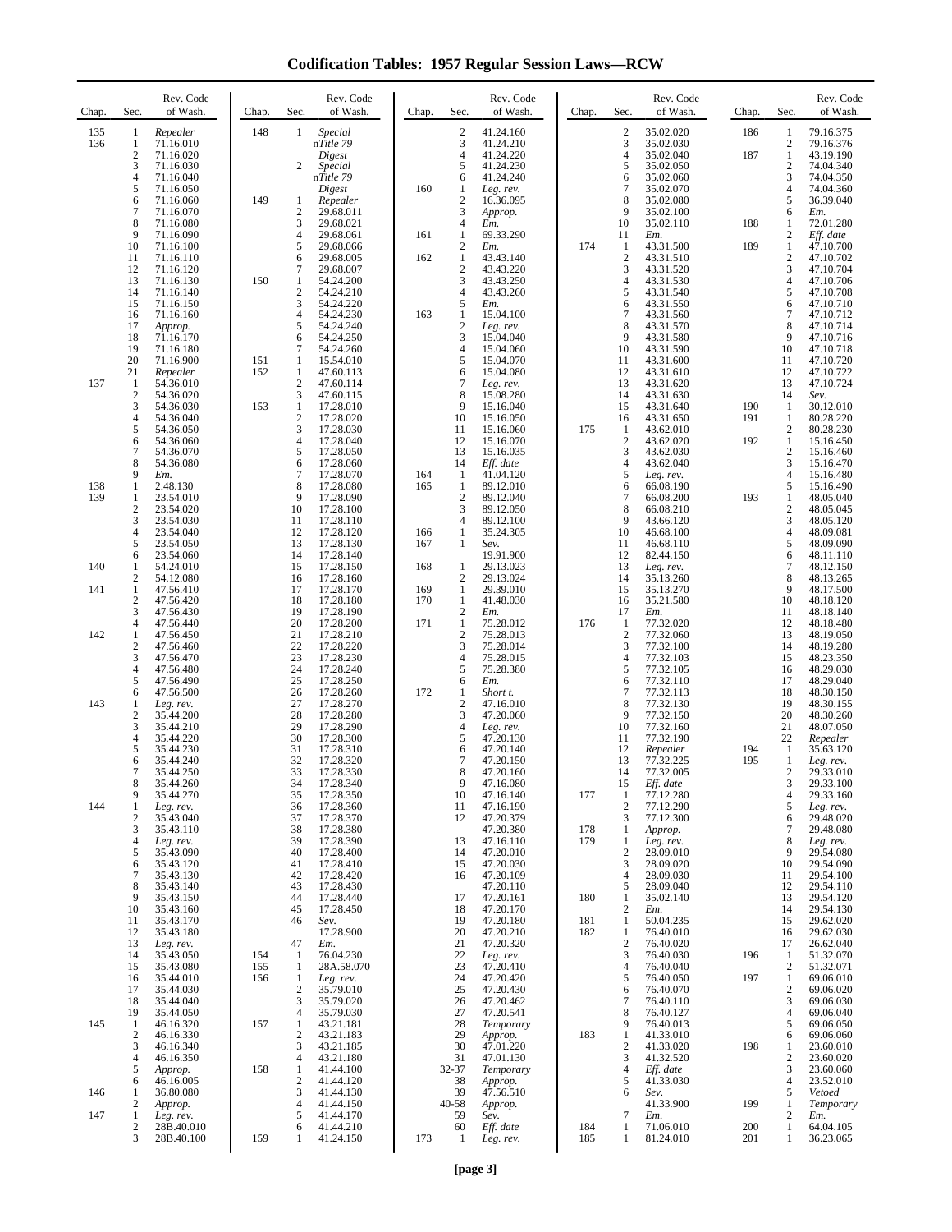**Codification Tables: 1957 Regular Session Laws—RCW**

| Chap.      | Sec.                         | Rev. Code<br>of Wash.  | Chap.      | Sec.                   | Rev. Code<br>of Wash.   | Chap.      | Sec.                             | Rev. Code<br>of Wash.  | Chap.      | Sec.                  | Rev. Code<br>of Wash.  | Chap.      | Sec.                             | Rev. Code<br>of Wash.  |
|------------|------------------------------|------------------------|------------|------------------------|-------------------------|------------|----------------------------------|------------------------|------------|-----------------------|------------------------|------------|----------------------------------|------------------------|
| 135<br>136 | 1<br>1                       | Repealer<br>71.16.010  | 148        | $\mathbf{1}$           | Special<br>nTitle 79    |            | $\overline{2}$<br>3              | 41.24.160<br>41.24.210 |            | $\boldsymbol{2}$<br>3 | 35.02.020<br>35.02.030 | 186        | $\mathbf{1}$<br>$\boldsymbol{2}$ | 79.16.375<br>79.16.376 |
|            | $\overline{c}$<br>3          | 71.16.020<br>71.16.030 |            | 2                      | Digest<br>Special       |            | 4<br>5                           | 41.24.220<br>41.24.230 |            | $\overline{4}$<br>5   | 35.02.040<br>35.02.050 | 187        | $\mathbf{1}$<br>$\mathbf{2}$     | 43.19.190<br>74.04.340 |
|            | 4                            | 71.16.040              |            |                        | nTitle 79               |            | 6                                | 41.24.240              |            | 6                     | 35.02.060              |            | 3                                | 74.04.350              |
|            | 5<br>6                       | 71.16.050<br>71.16.060 | 149        | 1                      | Digest<br>Repealer      | 160        | 1<br>$\overline{c}$              | Leg. rev.<br>16.36.095 |            | $\overline{7}$<br>8   | 35.02.070<br>35.02.080 |            | $\overline{4}$<br>5              | 74.04.360<br>36.39.040 |
|            | 7<br>8                       | 71.16.070<br>71.16.080 |            | $\overline{2}$<br>3    | 29.68.011<br>29.68.021  |            | 3<br>4                           | Approp.<br>Em.         |            | 9<br>10               | 35.02.100<br>35.02.110 | 188        | 6<br>1                           | Em.<br>72.01.280       |
|            | 9                            | 71.16.090              |            | $\overline{4}$<br>5    | 29.68.061               | 161        | 1                                | 69.33.290              | 174        | 11                    | Em.<br>43.31.500       | 189        | $\boldsymbol{2}$<br>$\mathbf{1}$ | Eff. date              |
|            | 10<br>11                     | 71.16.100<br>71.16.110 |            | 6                      | 29.68.066<br>29.68.005  | 162        | $\boldsymbol{2}$<br>$\mathbf{1}$ | Em.<br>43.43.140       |            | 1<br>$\boldsymbol{2}$ | 43.31.510              |            | $\sqrt{2}$                       | 47.10.700<br>47.10.702 |
|            | 12<br>13                     | 71.16.120<br>71.16.130 | 150        | $\tau$<br>$\mathbf{1}$ | 29.68.007<br>54.24.200  |            | $\overline{c}$<br>3              | 43.43.220<br>43.43.250 |            | 3<br>$\overline{4}$   | 43.31.520<br>43.31.530 |            | 3<br>$\overline{4}$              | 47.10.704<br>47.10.706 |
|            | 14<br>15                     | 71.16.140<br>71.16.150 |            | $\mathbf{2}$<br>3      | 54.24.210<br>54.24.220  |            | 4<br>5                           | 43.43.260<br>Em.       |            | 5<br>6                | 43.31.540<br>43.31.550 |            | 5<br>6                           | 47.10.708<br>47.10.710 |
|            | 16<br>17                     | 71.16.160<br>Approp.   |            | 4<br>5                 | 54.24.230<br>54.24.240  | 163        | $\mathbf{1}$<br>$\boldsymbol{2}$ | 15.04.100<br>Leg. rev. |            | 7<br>8                | 43.31.560<br>43.31.570 |            | 7<br>8                           | 47.10.712<br>47.10.714 |
|            | 18                           | 71.16.170              |            | 6                      | 54.24.250               |            | 3                                | 15.04.040              |            | 9                     | 43.31.580              |            | 9                                | 47.10.716              |
|            | 19<br>20                     | 71.16.180<br>71.16.900 | 151        | $\tau$<br>1            | 54.24.260<br>15.54.010  |            | 4<br>5                           | 15.04.060<br>15.04.070 |            | 10<br>11              | 43.31.590<br>43.31.600 |            | 10<br>11                         | 47.10.718<br>47.10.720 |
| 137        | 21<br>1                      | Repealer<br>54.36.010  | 152        | 1<br>$\sqrt{2}$        | 47.60.113<br>47.60.114  |            | 6<br>$\overline{7}$              | 15.04.080<br>Leg. rev. |            | 12<br>13              | 43.31.610<br>43.31.620 |            | 12<br>13                         | 47.10.722<br>47.10.724 |
|            | $\mathbf{2}$<br>3            | 54.36.020<br>54.36.030 | 153        | 3<br>1                 | 47.60.115<br>17.28.010  |            | 8<br>9                           | 15.08.280<br>15.16.040 |            | 14<br>15              | 43.31.630<br>43.31.640 | 190        | 14<br>1                          | Sev.<br>30.12.010      |
|            | 4<br>5                       | 54.36.040<br>54.36.050 |            | $\overline{2}$<br>3    | 17.28.020<br>17.28.030  |            | 10<br>11                         | 15.16.050<br>15.16.060 | 175        | 16<br>1               | 43.31.650<br>43.62.010 | 191        | $\mathbf{1}$<br>$\mathfrak{2}$   | 80.28.220<br>80.28.230 |
|            | 6<br>7                       | 54.36.060              |            | 4<br>5                 | 17.28.040               |            | 12<br>13                         | 15.16.070              |            | $\boldsymbol{2}$<br>3 | 43.62.020              | 192        | $\mathbf{1}$<br>$\mathfrak{2}$   | 15.16.450              |
|            | 8                            | 54.36.070<br>54.36.080 |            | 6                      | 17.28.050<br>17.28.060  |            | 14                               | 15.16.035<br>Eff. date |            | $\overline{4}$        | 43.62.030<br>43.62.040 |            | 3                                | 15.16.460<br>15.16.470 |
| 138        | 9<br>1                       | Em.<br>2.48.130        |            | 7<br>8                 | 17.28.070<br>17.28.080  | 164<br>165 | $\mathbf{1}$<br>$\mathbf{1}$     | 41.04.120<br>89.12.010 |            | 5<br>6                | Leg. rev.<br>66.08.190 |            | $\overline{4}$<br>5              | 15.16.480<br>15.16.490 |
| 139        | 1<br>$\overline{2}$          | 23.54.010<br>23.54.020 |            | 9<br>10                | 17.28.090<br>17.28.100  |            | $\sqrt{2}$<br>3                  | 89.12.040<br>89.12.050 |            | $\tau$<br>8           | 66.08.200<br>66.08.210 | 193        | 1<br>$\sqrt{2}$                  | 48.05.040<br>48.05.045 |
|            | 3<br>4                       | 23.54.030<br>23.54.040 |            | 11<br>12               | 17.28.110<br>17.28.120  | 166        | $\overline{4}$<br>$\mathbf{1}$   | 89.12.100<br>35.24.305 |            | 9<br>10               | 43.66.120<br>46.68.100 |            | 3<br>$\overline{4}$              | 48.05.120<br>48.09.081 |
|            | 5<br>6                       | 23.54.050<br>23.54.060 |            | 13<br>14               | 17.28.130<br>17.28.140  | 167        | 1                                | Sev.<br>19.91.900      |            | 11<br>12              | 46.68.110<br>82.44.150 |            | 5<br>6                           | 48.09.090<br>48.11.110 |
| 140        | 1                            | 54.24.010              |            | 15                     | 17.28.150               | 168        | $\mathbf{1}$                     | 29.13.023              |            | 13                    | Leg. rev.              |            | 7                                | 48.12.150              |
| 141        | $\mathbf{2}$<br>$\mathbf{1}$ | 54.12.080<br>47.56.410 |            | 16<br>17               | 17.28.160<br>17.28.170  | 169        | $\overline{2}$<br>$\mathbf{1}$   | 29.13.024<br>29.39.010 |            | 14<br>15              | 35.13.260<br>35.13.270 |            | 8<br>9                           | 48.13.265<br>48.17.500 |
|            | $\boldsymbol{2}$<br>3        | 47.56.420<br>47.56.430 |            | 18<br>19               | 17.28.180<br>17.28.190  | 170        | $\mathbf{1}$<br>$\sqrt{2}$       | 41.48.030<br>Em.       |            | 16<br>17              | 35.21.580<br>Em.       |            | 10<br>11                         | 48.18.120<br>48.18.140 |
| 142        | 4<br>$\mathbf{1}$            | 47.56.440<br>47.56.450 |            | 20<br>21               | 17.28.200<br>17.28.210  | 171        | $\mathbf{1}$<br>$\overline{2}$   | 75.28.012<br>75.28.013 | 176        | -1<br>$\overline{2}$  | 77.32.020<br>77.32.060 |            | 12<br>13                         | 48.18.480<br>48.19.050 |
|            | $\overline{\mathbf{c}}$<br>3 | 47.56.460<br>47.56.470 |            | 22<br>23               | 17.28.220<br>17.28.230  |            | 3<br>4                           | 75.28.014<br>75.28.015 |            | 3<br>4                | 77.32.100<br>77.32.103 |            | 14<br>15                         | 48.19.280<br>48.23.350 |
|            | $\overline{4}$<br>5          | 47.56.480              |            | 24<br>25               | 17.28.240               |            | 5                                | 75.28.380              |            | 5<br>6                | 77.32.105              |            | 16<br>17                         | 48.29.030              |
|            | 6                            | 47.56.490<br>47.56.500 |            | 26                     | 17.28.250<br>17.28.260  | 172        | 6<br>$\mathbf{1}$                | Em.<br>Short t.        |            | $\tau$                | 77.32.110<br>77.32.113 |            | 18                               | 48.29.040<br>48.30.150 |
| 143        | 1<br>$\overline{c}$          | Leg. rev.<br>35.44.200 |            | 27<br>28               | 17.28.270<br>17.28.280  |            | $\boldsymbol{2}$<br>3            | 47.16.010<br>47.20.060 |            | 8<br>9                | 77.32.130<br>77.32.150 |            | 19<br>20                         | 48.30.155<br>48.30.260 |
|            | 3<br>4                       | 35.44.210<br>35.44.220 |            | 29<br>30               | 17.28.290<br>17.28.300  |            | $\overline{4}$<br>5              | Leg. rev.<br>47.20.130 |            | 10<br>11              | 77.32.160<br>77.32.190 |            | 21<br>$22\,$                     | 48.07.050<br>Repealer  |
|            | 5<br>6                       | 35.44.230<br>35.44.240 |            | 31<br>32               | 17.28.310<br>17.28.320  |            | 6<br>$\overline{7}$              | 47.20.140<br>47.20.150 |            | 12<br>13              | Repealer<br>77.32.225  | 194<br>195 | 1<br>$\mathbf{1}$                | 35.63.120<br>Leg. rev. |
|            | 7<br>8                       | 35.44.250<br>35.44.260 |            | 33<br>34               | 17.28.330<br>17.28.340  |            | 8<br>9                           | 47.20.160<br>47.16.080 |            | 14<br>15              | 77.32.005<br>Eff. date |            | $\overline{c}$<br>3              | 29.33.010<br>29.33.100 |
|            | 9                            | 35.44.270              |            | 35                     | 17.28.350               |            | 10                               | 47.16.140              | 177        | 1                     | 77.12.280              |            | $\overline{4}$                   | 29.33.160              |
| 144        | 1<br>$\overline{c}$          | Leg. rev.<br>35.43.040 |            | 36<br>37               | 17.28.360<br>17.28.370  |            | 11<br>12                         | 47.16.190<br>47.20.379 |            | $\overline{c}$<br>3   | 77.12.290<br>77.12.300 |            | 5<br>6                           | Leg. rev.<br>29.48.020 |
|            | 3<br>4                       | 35.43.110<br>Leg. rev. |            | 38<br>39               | 17.28.380<br>17.28.390  |            | 13                               | 47.20.380<br>47.16.110 | 178<br>179 | 1<br>1                | Approp.<br>Leg. rev.   |            | $\tau$<br>8                      | 29.48.080<br>Leg. rev. |
|            | 5<br>6                       | 35.43.090<br>35.43.120 |            | 40<br>41               | 17.28.400<br>17.28.410  |            | 14<br>15                         | 47.20.010<br>47.20.030 |            | $\boldsymbol{2}$<br>3 | 28.09.010<br>28.09.020 |            | 9<br>10                          | 29.54.080<br>29.54.090 |
|            | 7<br>8                       | 35.43.130<br>35.43.140 |            | 42<br>43               | 17.28.420<br>17.28.430  |            | 16                               | 47.20.109<br>47.20.110 |            | $\overline{4}$<br>5   | 28.09.030<br>28.09.040 |            | 11<br>12                         | 29.54.100<br>29.54.110 |
|            | 9<br>10                      | 35.43.150<br>35.43.160 |            | 44<br>45               | 17.28.440<br>17.28.450  |            | 17<br>18                         | 47.20.161<br>47.20.170 | 180        | 1<br>2                | 35.02.140<br>Em.       |            | 13<br>14                         | 29.54.120<br>29.54.130 |
|            | 11                           | 35.43.170              |            | 46                     | Sev.                    |            | 19                               | 47.20.180              | 181        | 1                     | 50.04.235              |            | 15                               | 29.62.020              |
|            | 12<br>13                     | 35.43.180<br>Leg. rev. |            | 47                     | 17.28.900<br>Em.        |            | 20<br>21                         | 47.20.210<br>47.20.320 | 182        | 1<br>$\overline{c}$   | 76.40.010<br>76.40.020 |            | 16<br>17                         | 29.62.030<br>26.62.040 |
|            | 14<br>15                     | 35.43.050<br>35.43.080 | 154<br>155 | 1<br>1                 | 76.04.230<br>28A.58.070 |            | 22<br>23                         | Leg. rev.<br>47.20.410 |            | 3<br>4                | 76.40.030<br>76.40.040 | 196        | 1<br>$\sqrt{2}$                  | 51.32.070<br>51.32.071 |
|            | 16<br>17                     | 35.44.010<br>35.44.030 | 156        | 1<br>$\boldsymbol{2}$  | Leg. rev.<br>35.79.010  |            | 24<br>25                         | 47.20.420<br>47.20.430 |            | 5<br>6                | 76.40.050<br>76.40.070 | 197        | $\mathbf{1}$<br>$\,2$            | 69.06.010<br>69.06.020 |
|            | 18<br>19                     | 35.44.040<br>35.44.050 |            | 3<br>$\overline{4}$    | 35.79.020<br>35.79.030  |            | 26<br>27                         | 47.20.462<br>47.20.541 |            | 7<br>8                | 76.40.110<br>76.40.127 |            | 3<br>$\overline{4}$              | 69.06.030<br>69.06.040 |
| 145        | $\mathbf{1}$<br>$\mathbf{2}$ | 46.16.320              | 157        | 1<br>$\overline{c}$    | 43.21.181               |            | 28<br>29                         | Temporary              |            | 9<br>1                | 76.40.013              |            | 5                                | 69.06.050              |
|            | 3                            | 46.16.330<br>46.16.340 |            | 3                      | 43.21.183<br>43.21.185  |            | 30                               | Approp.<br>47.01.220   | 183        | $\boldsymbol{2}$      | 41.33.010<br>41.33.020 | 198        | 6<br>$\mathbf{1}$                | 69.06.060<br>23.60.010 |
|            | 4<br>5                       | 46.16.350<br>Approp.   | 158        | $\overline{4}$<br>1    | 43.21.180<br>41.44.100  |            | 31<br>32-37                      | 47.01.130<br>Temporary |            | 3<br>4                | 41.32.520<br>Eff. date |            | $\mathfrak{2}$<br>3              | 23.60.020<br>23.60.060 |
| 146        | 6<br>1                       | 46.16.005<br>36.80.080 |            | $\mathbf{2}$<br>3      | 41.44.120<br>41.44.130  |            | 38<br>39                         | Approp.<br>47.56.510   |            | 5<br>6                | 41.33.030<br>Sev.      |            | $\overline{4}$<br>5              | 23.52.010<br>Vetoed    |
| 147        | 2<br>1                       | Approp.<br>Leg. rev.   |            | $\overline{4}$<br>5    | 41.44.150<br>41.44.170  |            | $40 - 58$<br>59                  | Approp.<br>Sev.        |            | 7                     | 41.33.900<br>Em.       | 199        | $\mathbf{1}$<br>$\mathfrak{2}$   | Temporary<br>Em.       |
|            | $\boldsymbol{2}$<br>3        | 28B.40.010             |            | 6                      | 41.44.210               |            | 60                               | Eff. date              | 184        | 1<br>1                | 71.06.010              | 200<br>201 | $\mathbf{1}$                     | 64.04.105              |
|            |                              | 28B.40.100             | 159        | 1                      | 41.24.150               | 173        | 1                                | Leg. rev.              | 185        |                       | 81.24.010              |            | $\mathbf{1}$                     | 36.23.065              |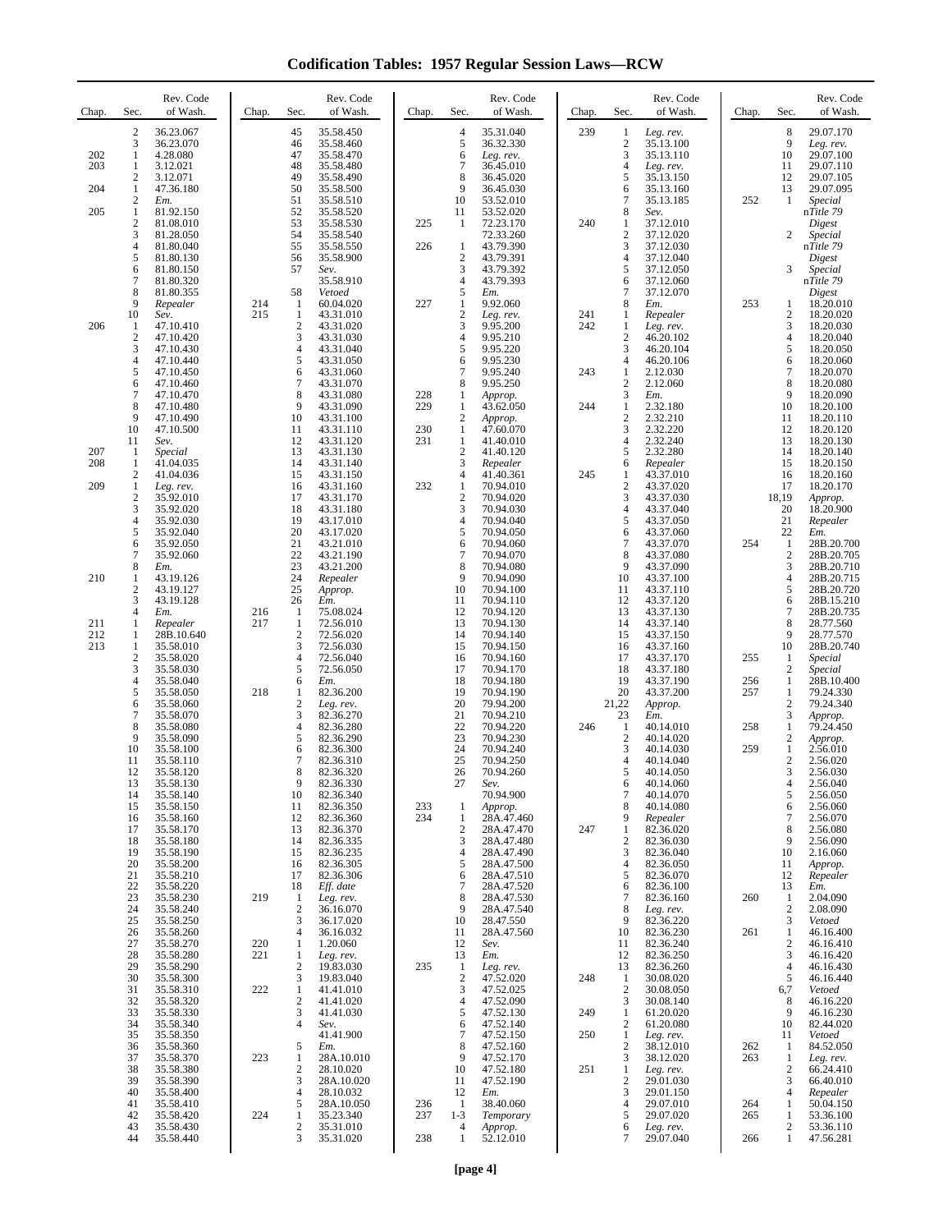**Codification Tables: 1957 Regular Session Laws—RCW**

| Chap.             | Sec.                                                    | Rev. Code<br>of Wash.                                                              | Chap.      | Sec.                                                     | Rev. Code<br>of Wash.                                                                   | Chap.                    | Sec.                                                             | Rev. Code<br>of Wash.                                                             | Chap.      | Sec.                                                          | Rev. Code<br>of Wash.                                                       | Chap.             | Sec.                                                              | Rev. Code<br>of Wash.                                                                   |
|-------------------|---------------------------------------------------------|------------------------------------------------------------------------------------|------------|----------------------------------------------------------|-----------------------------------------------------------------------------------------|--------------------------|------------------------------------------------------------------|-----------------------------------------------------------------------------------|------------|---------------------------------------------------------------|-----------------------------------------------------------------------------|-------------------|-------------------------------------------------------------------|-----------------------------------------------------------------------------------------|
| 202<br>203        | $\boldsymbol{2}$<br>3<br>1<br>1<br>$\boldsymbol{2}$     | 36.23.067<br>36.23.070<br>4.28.080<br>3.12.021<br>3.12.071                         |            | 45<br>46<br>47<br>48<br>49                               | 35.58.450<br>35.58.460<br>35.58.470<br>35.58.480<br>35.58.490                           |                          | $\overline{4}$<br>5<br>6<br>$\overline{7}$<br>8                  | 35.31.040<br>36.32.330<br>Leg. rev.<br>36.45.010<br>36.45.020                     | 239        | 1<br>$\overline{\mathbf{c}}$<br>3<br>4<br>5                   | Leg. rev.<br>35.13.100<br>35.13.110<br>Leg. rev.<br>35.13.150               |                   | 8<br>9<br>10<br>11<br>12                                          | 29.07.170<br>Leg. rev.<br>29.07.100<br>29.07.110<br>29.07.105                           |
| 204<br>205        | 1<br>2<br>$\mathbf{1}$<br>$\mathfrak{2}$                | 47.36.180<br>Em.<br>81.92.150<br>81.08.010                                         |            | 50<br>51<br>52<br>53                                     | 35.58.500<br>35.58.510<br>35.58.520<br>35.58.530                                        | 225                      | 9<br>10<br>11<br>1                                               | 36.45.030<br>53.52.010<br>53.52.020<br>72.23.170                                  | 240        | 6<br>7<br>8<br>1                                              | 35.13.160<br>35.13.185<br>Sev.<br>37.12.010                                 | 252               | 13<br>1                                                           | 29.07.095<br>Special<br>nTitle 79<br>Digest                                             |
|                   | $\mathfrak{Z}$<br>4<br>5<br>6<br>7<br>8                 | 81.28.050<br>81.80.040<br>81.80.130<br>81.80.150<br>81.80.320<br>81.80.355         |            | 54<br>55<br>56<br>57<br>58                               | 35.58.540<br>35.58.550<br>35.58.900<br>Sev.<br>35.58.910<br>Vetoed                      | 226                      | 1<br>$\mathbf{2}$<br>3<br>$\overline{4}$<br>5                    | 72.33.260<br>43.79.390<br>43.79.391<br>43.79.392<br>43.79.393<br>Em.              |            | $\overline{\mathbf{c}}$<br>3<br>4<br>5<br>6<br>$\overline{7}$ | 37.12.020<br>37.12.030<br>37.12.040<br>37.12.050<br>37.12.060<br>37.12.070  |                   | 2<br>3                                                            | Special<br>nTitle 79<br>Digest<br>Special<br>n <i>Title 79</i><br>Digest                |
| 206               | 9<br>10<br>1<br>$\mathfrak{2}$<br>3<br>4<br>5           | Repealer<br>Sev.<br>47.10.410<br>47.10.420<br>47.10.430<br>47.10.440               | 214<br>215 | 1<br>$\mathbf{1}$<br>$\mathfrak{2}$<br>3<br>4<br>5       | 60.04.020<br>43.31.010<br>43.31.020<br>43.31.030<br>43.31.040<br>43.31.050              | 227                      | 1<br>$\boldsymbol{2}$<br>3<br>$\overline{4}$<br>5<br>6<br>$\tau$ | 9.92.060<br>Leg. rev.<br>9.95.200<br>9.95.210<br>9.95.220<br>9.95.230             | 241<br>242 | 8<br>1<br>1<br>$\overline{c}$<br>3<br>4<br>1                  | Em.<br>Repealer<br>Leg. rev.<br>46.20.102<br>46.20.104<br>46.20.106         | 253               | 1<br>$\overline{c}$<br>3<br>$\overline{4}$<br>5<br>6<br>$\tau$    | 18.20.010<br>18.20.020<br>18.20.030<br>18.20.040<br>18.20.050<br>18.20.060              |
|                   | 6<br>$\overline{7}$<br>8<br>9<br>10<br>11               | 47.10.450<br>47.10.460<br>47.10.470<br>47.10.480<br>47.10.490<br>47.10.500<br>Sev. |            | 6<br>$\overline{7}$<br>8<br>9<br>10<br>11<br>12          | 43.31.060<br>43.31.070<br>43.31.080<br>43.31.090<br>43.31.100<br>43.31.110<br>43.31.120 | 228<br>229<br>230<br>231 | 8<br>1<br>1<br>$\mathbf{2}$<br>$\mathbf{1}$<br>$\mathbf{1}$      | 9.95.240<br>9.95.250<br>Approp.<br>43.62.050<br>Approp.<br>47.60.070<br>41.40.010 | 243<br>244 | $\overline{c}$<br>3<br>1<br>$\overline{c}$<br>3<br>4          | 2.12.030<br>2.12.060<br>Em.<br>2.32.180<br>2.32.210<br>2.32.220<br>2.32.240 |                   | 8<br>9<br>10<br>11<br>12<br>13                                    | 18.20.070<br>18.20.080<br>18.20.090<br>18.20.100<br>18.20.110<br>18.20.120<br>18.20.130 |
| 207<br>208<br>209 | -1<br>1<br>$\mathfrak{2}$<br>$\mathbf{1}$               | Special<br>41.04.035<br>41.04.036<br>Leg. rev.                                     |            | 13<br>14<br>15<br>16                                     | 43.31.130<br>43.31.140<br>43.31.150<br>43.31.160                                        | 232                      | $\boldsymbol{2}$<br>3<br>$\overline{4}$<br>1                     | 41.40.120<br>Repealer<br>41.40.361<br>70.94.010                                   | 245        | 5<br>6<br>1<br>$\overline{c}$                                 | 2.32.280<br>Repealer<br>43.37.010<br>43.37.020                              |                   | 14<br>15<br>16<br>17                                              | 18.20.140<br>18.20.150<br>18.20.160<br>18.20.170                                        |
|                   | $\overline{2}$<br>3<br>$\overline{4}$<br>5<br>6         | 35.92.010<br>35.92.020<br>35.92.030<br>35.92.040<br>35.92.050                      |            | 17<br>18<br>19<br>20<br>21                               | 43.31.170<br>43.31.180<br>43.17.010<br>43.17.020<br>43.21.010                           |                          | $\sqrt{2}$<br>3<br>$\overline{4}$<br>5<br>6<br>$\tau$            | 70.94.020<br>70.94.030<br>70.94.040<br>70.94.050<br>70.94.060                     |            | 3<br>4<br>5<br>6<br>7                                         | 43.37.030<br>43.37.040<br>43.37.050<br>43.37.060<br>43.37.070               | 254               | 18,19<br>20<br>21<br>22<br>1                                      | Approp.<br>18.20.900<br>Repealer<br>Em.<br>28B.20.700                                   |
| 210               | $\tau$<br>8<br>1<br>$\mathbf{2}$<br>3<br>$\overline{4}$ | 35.92.060<br>Em.<br>43.19.126<br>43.19.127<br>43.19.128<br>Em.                     | 216        | 22<br>23<br>24<br>25<br>26<br>1                          | 43.21.190<br>43.21.200<br>Repealer<br>Approp.<br>Em.<br>75.08.024                       |                          | 8<br>9<br>10<br>11<br>12                                         | 70.94.070<br>70.94.080<br>70.94.090<br>70.94.100<br>70.94.110<br>70.94.120        |            | 8<br>9<br>10<br>11<br>12<br>13                                | 43.37.080<br>43.37.090<br>43.37.100<br>43.37.110<br>43.37.120<br>43.37.130  |                   | $\sqrt{2}$<br>3<br>$\overline{4}$<br>5<br>6<br>$\boldsymbol{7}$   | 28B.20.705<br>28B.20.710<br>28B.20.715<br>28B.20.720<br>28B.15.210<br>28B.20.735        |
| 211<br>212<br>213 | 1<br>1<br>1<br>$\mathfrak{2}$<br>3                      | Repealer<br>28B.10.640<br>35.58.010<br>35.58.020<br>35.58.030                      | 217        | 1<br>$\sqrt{2}$<br>3<br>4<br>5                           | 72.56.010<br>72.56.020<br>72.56.030<br>72.56.040<br>72.56.050                           |                          | 13<br>14<br>15<br>16<br>17                                       | 70.94.130<br>70.94.140<br>70.94.150<br>70.94.160<br>70.94.170                     |            | 14<br>15<br>16<br>17<br>18                                    | 43.37.140<br>43.37.150<br>43.37.160<br>43.37.170<br>43.37.180               | 255               | 8<br>9<br>10<br>1<br>$\overline{c}$                               | 28.77.560<br>28.77.570<br>28B.20.740<br>Special<br><i>Special</i>                       |
|                   | 4<br>5<br>6<br>$\overline{7}$<br>8                      | 35.58.040<br>35.58.050<br>35.58.060<br>35.58.070<br>35.58.080                      | 218        | 6<br>1<br>2<br>3<br>4                                    | Em.<br>82.36.200<br>Leg. rev.<br>82.36.270<br>82.36.280                                 |                          | 18<br>19<br>20<br>21<br>22                                       | 70.94.180<br>70.94.190<br>79.94.200<br>70.94.210<br>70.94.220                     | 246        | 19<br>20<br>21,22<br>23<br>-1                                 | 43.37.190<br>43.37.200<br>Approp.<br>Em.<br>40.14.010                       | 256<br>257<br>258 | $\mathbf{1}$<br>$\mathbf{1}$<br>$\mathfrak{2}$<br>3<br>1          | 28B.10.400<br>79.24.330<br>79.24.340<br>Approp.<br>79.24.450                            |
|                   | 9<br>10<br>11<br>12<br>13                               | 35.58.090<br>35.58.100<br>35.58.110<br>35.58.120<br>35.58.130                      |            | 5<br>6<br>$\overline{7}$<br>8<br>9                       | 82.36.290<br>82.36.300<br>82.36.310<br>82.36.320<br>82.36.330                           |                          | 23<br>24<br>25<br>26<br>27                                       | 70.94.230<br>70.94.240<br>70.94.250<br>70.94.260<br>Sev.                          |            | $\overline{c}$<br>3<br>4<br>5<br>6                            | 40.14.020<br>40.14.030<br>40.14.040<br>40.14.050<br>40.14.060               | 259               | $\sqrt{2}$<br>$\mathbf{1}$<br>$\mathbf{2}$<br>3<br>$\overline{4}$ | Approp.<br>2.56.010<br>2.56.020<br>2.56.030<br>2.56.040                                 |
|                   | 14<br>15<br>16<br>17<br>18<br>19                        | 35.58.140<br>35.58.150<br>35.58.160<br>35.58.170<br>35.58.180<br>35.58.190         |            | 10<br>11<br>12<br>13<br>14<br>15                         | 82.36.340<br>82.36.350<br>82.36.360<br>82.36.370<br>82.36.335<br>82.36.235              | 233<br>234               | 1<br>1<br>$\overline{c}$<br>3<br>$\overline{4}$                  | 70.94.900<br>Approp.<br>28A.47.460<br>28A.47.470<br>28A.47.480<br>28A.47.490      | 247        | 7<br>8<br>9<br>1<br>$\overline{\mathbf{c}}$<br>3              | 40.14.070<br>40.14.080<br>Repealer<br>82.36.020<br>82.36.030<br>82.36.040   |                   | 5<br>6<br>7<br>8<br>9<br>10                                       | 2.56.050<br>2.56.060<br>2.56.070<br>2.56.080<br>2.56.090<br>2.16.060                    |
|                   | 20<br>21<br>22<br>23<br>24                              | 35.58.200<br>35.58.210<br>35.58.220<br>35.58.230<br>35.58.240                      | 219        | 16<br>17<br>18<br>1<br>$\mathfrak{2}$                    | 82.36.305<br>82.36.306<br>Eff. date<br>Leg. rev.<br>36.16.070                           |                          | 5<br>6<br>$\overline{7}$<br>8<br>9                               | 28A.47.500<br>28A.47.510<br>28A.47.520<br>28A.47.530<br>28A.47.540                |            | 4<br>5<br>6<br>7<br>8                                         | 82.36.050<br>82.36.070<br>82.36.100<br>82.36.160<br>Leg. rev.               | 260               | 11<br>12<br>13<br>$\mathbf{1}$<br>$\overline{c}$                  | Approp.<br>Repealer<br>Em.<br>2.04.090<br>2.08.090                                      |
|                   | 25<br>26<br>27<br>28<br>29                              | 35.58.250<br>35.58.260<br>35.58.270<br>35.58.280<br>35.58.290                      | 220<br>221 | 3<br>4<br>$\mathbf{1}$<br>$\mathbf{1}$<br>$\mathfrak{2}$ | 36.17.020<br>36.16.032<br>1.20.060<br>Leg. rev.<br>19.83.030                            | 235                      | 10<br>11<br>12<br>13<br>$\mathbf{1}$                             | 28.47.550<br>28A.47.560<br>Sev.<br>Em.<br>Leg. rev.                               |            | 9<br>10<br>11<br>12<br>13                                     | 82.36.220<br>82.36.230<br>82.36.240<br>82.36.250<br>82.36.260               | 261               | 3<br>1<br>$\mathbf{2}$<br>3<br>$\overline{4}$                     | Vetoed<br>46.16.400<br>46.16.410<br>46.16.420<br>46.16.430                              |
|                   | 30<br>31<br>32<br>33<br>34                              | 35.58.300<br>35.58.310<br>35.58.320<br>35.58.330<br>35.58.340                      | 222        | 3<br>1<br>$\mathfrak{2}$<br>3<br>$\overline{4}$          | 19.83.040<br>41.41.010<br>41.41.020<br>41.41.030<br>Sev.                                |                          | $\sqrt{2}$<br>3<br>$\overline{4}$<br>5<br>6                      | 47.52.020<br>47.52.025<br>47.52.090<br>47.52.130<br>47.52.140                     | 248<br>249 | 1<br>$\overline{c}$<br>3<br>1<br>$\overline{c}$               | 30.08.020<br>30.08.050<br>30.08.140<br>61.20.020<br>61.20.080               |                   | 5<br>6,7<br>8<br>9<br>10                                          | 46.16.440<br>Vetoed<br>46.16.220<br>46.16.230<br>82.44.020                              |
|                   | 35<br>36<br>37<br>38<br>39                              | 35.58.350<br>35.58.360<br>35.58.370<br>35.58.380<br>35.58.390                      | 223        | 5<br>1<br>$\boldsymbol{2}$<br>3                          | 41.41.900<br>Em.<br>28A.10.010<br>28.10.020<br>28A.10.020                               |                          | $\overline{7}$<br>8<br>9<br>10<br>11                             | 47.52.150<br>47.52.160<br>47.52.170<br>47.52.180<br>47.52.190                     | 250<br>251 | 1<br>$\overline{c}$<br>3<br>1<br>$\overline{c}$               | Leg. rev.<br>38.12.010<br>38.12.020<br>Leg. rev.<br>29.01.030               | 262<br>263        | 11<br>1<br>$\mathbf{1}$<br>$\boldsymbol{2}$<br>3                  | Vetoed<br>84.52.050<br>Leg. rev.<br>66.24.410<br>66.40.010                              |
|                   | 40<br>41<br>42<br>43<br>44                              | 35.58.400<br>35.58.410<br>35.58.420<br>35.58.430<br>35.58.440                      | 224        | 4<br>5<br>$\mathbf{1}$<br>2<br>3                         | 28.10.032<br>28A.10.050<br>35.23.340<br>35.31.010<br>35.31.020                          | 236<br>237<br>238        | 12<br>1<br>$1 - 3$<br>4<br>$\mathbf{1}$                          | Em.<br>38.40.060<br>Temporary<br>Approp.<br>52.12.010                             |            | 3<br>4<br>5<br>6<br>7                                         | 29.01.150<br>29.07.010<br>29.07.020<br>Leg. rev.<br>29.07.040               | 264<br>265<br>266 | $\overline{4}$<br>1<br>1<br>$\mathfrak{2}$<br>$\mathbf{1}$        | Repealer<br>50.04.150<br>53.36.100<br>53.36.110<br>47.56.281                            |